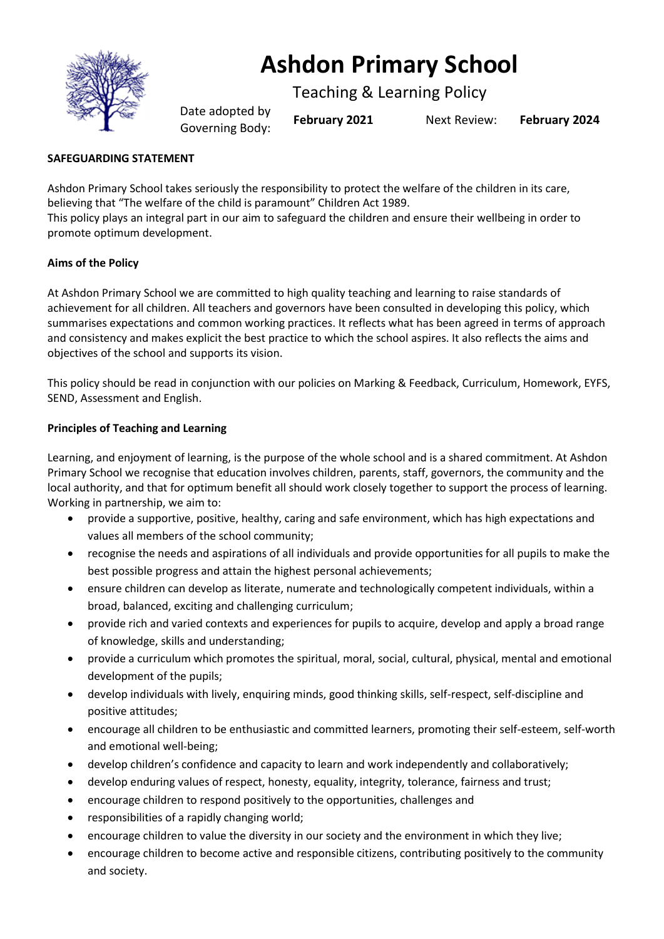

# **Ashdon Primary School**

Teaching & Learning Policy

Date adopted by Governing Body: **February <sup>2021</sup>** Next Review: **February <sup>2024</sup>**

# **SAFEGUARDING STATEMENT**

Ashdon Primary School takes seriously the responsibility to protect the welfare of the children in its care, believing that "The welfare of the child is paramount" Children Act 1989. This policy plays an integral part in our aim to safeguard the children and ensure their wellbeing in order to promote optimum development.

# **Aims of the Policy**

At Ashdon Primary School we are committed to high quality teaching and learning to raise standards of achievement for all children. All teachers and governors have been consulted in developing this policy, which summarises expectations and common working practices. It reflects what has been agreed in terms of approach and consistency and makes explicit the best practice to which the school aspires. It also reflects the aims and objectives of the school and supports its vision.

This policy should be read in conjunction with our policies on Marking & Feedback, Curriculum, Homework, EYFS, SEND, Assessment and English.

## **Principles of Teaching and Learning**

Learning, and enjoyment of learning, is the purpose of the whole school and is a shared commitment. At Ashdon Primary School we recognise that education involves children, parents, staff, governors, the community and the local authority, and that for optimum benefit all should work closely together to support the process of learning. Working in partnership, we aim to:

- provide a supportive, positive, healthy, caring and safe environment, which has high expectations and values all members of the school community;
- recognise the needs and aspirations of all individuals and provide opportunities for all pupils to make the best possible progress and attain the highest personal achievements;
- ensure children can develop as literate, numerate and technologically competent individuals, within a broad, balanced, exciting and challenging curriculum;
- provide rich and varied contexts and experiences for pupils to acquire, develop and apply a broad range of knowledge, skills and understanding;
- provide a curriculum which promotes the spiritual, moral, social, cultural, physical, mental and emotional development of the pupils;
- develop individuals with lively, enquiring minds, good thinking skills, self-respect, self-discipline and positive attitudes;
- encourage all children to be enthusiastic and committed learners, promoting their self-esteem, self-worth and emotional well-being;
- develop children's confidence and capacity to learn and work independently and collaboratively;
- develop enduring values of respect, honesty, equality, integrity, tolerance, fairness and trust;
- encourage children to respond positively to the opportunities, challenges and
- responsibilities of a rapidly changing world;
- encourage children to value the diversity in our society and the environment in which they live;
- encourage children to become active and responsible citizens, contributing positively to the community and society.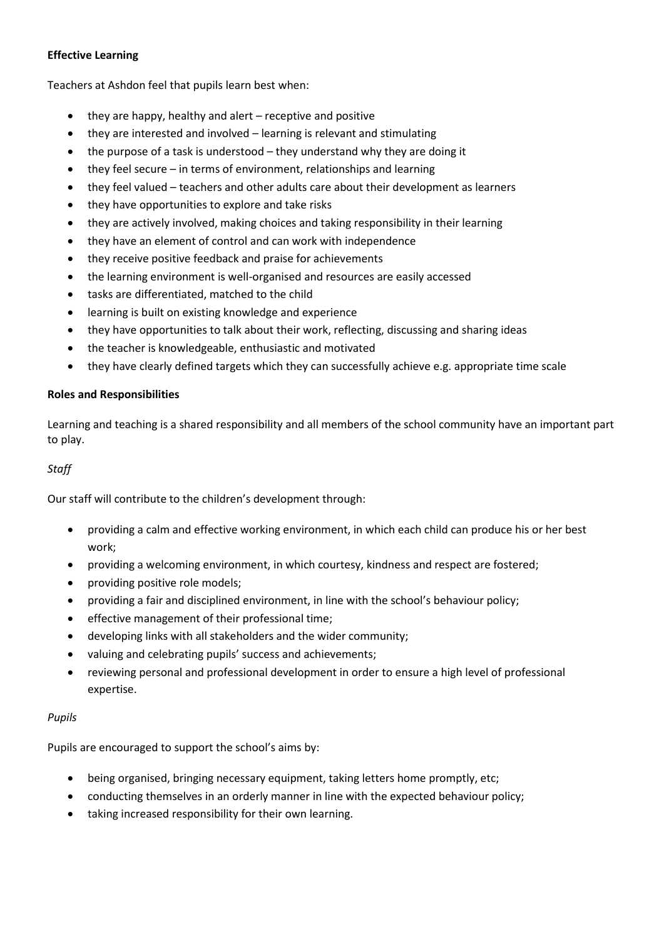## **Effective Learning**

Teachers at Ashdon feel that pupils learn best when:

- they are happy, healthy and alert receptive and positive
- they are interested and involved learning is relevant and stimulating
- the purpose of a task is understood they understand why they are doing it
- they feel secure in terms of environment, relationships and learning
- they feel valued teachers and other adults care about their development as learners
- they have opportunities to explore and take risks
- they are actively involved, making choices and taking responsibility in their learning
- they have an element of control and can work with independence
- they receive positive feedback and praise for achievements
- the learning environment is well-organised and resources are easily accessed
- tasks are differentiated, matched to the child
- learning is built on existing knowledge and experience
- they have opportunities to talk about their work, reflecting, discussing and sharing ideas
- the teacher is knowledgeable, enthusiastic and motivated
- they have clearly defined targets which they can successfully achieve e.g. appropriate time scale

#### **Roles and Responsibilities**

Learning and teaching is a shared responsibility and all members of the school community have an important part to play.

## *Staff*

Our staff will contribute to the children's development through:

- providing a calm and effective working environment, in which each child can produce his or her best work;
- providing a welcoming environment, in which courtesy, kindness and respect are fostered;
- providing positive role models;
- providing a fair and disciplined environment, in line with the school's behaviour policy;
- effective management of their professional time;
- developing links with all stakeholders and the wider community;
- valuing and celebrating pupils' success and achievements;
- reviewing personal and professional development in order to ensure a high level of professional expertise.

## *Pupils*

Pupils are encouraged to support the school's aims by:

- being organised, bringing necessary equipment, taking letters home promptly, etc;
- conducting themselves in an orderly manner in line with the expected behaviour policy;
- taking increased responsibility for their own learning.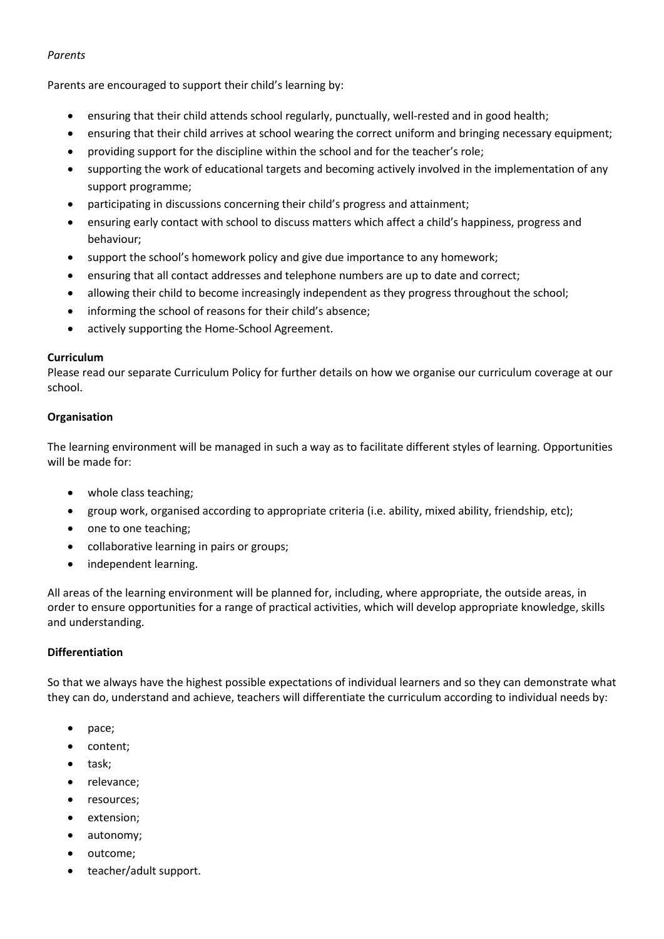## *Parents*

Parents are encouraged to support their child's learning by:

- ensuring that their child attends school regularly, punctually, well-rested and in good health;
- ensuring that their child arrives at school wearing the correct uniform and bringing necessary equipment;
- providing support for the discipline within the school and for the teacher's role;
- supporting the work of educational targets and becoming actively involved in the implementation of any support programme;
- participating in discussions concerning their child's progress and attainment;
- ensuring early contact with school to discuss matters which affect a child's happiness, progress and behaviour;
- support the school's homework policy and give due importance to any homework;
- ensuring that all contact addresses and telephone numbers are up to date and correct;
- allowing their child to become increasingly independent as they progress throughout the school;
- informing the school of reasons for their child's absence;
- actively supporting the Home-School Agreement.

## **Curriculum**

Please read our separate Curriculum Policy for further details on how we organise our curriculum coverage at our school.

## **Organisation**

The learning environment will be managed in such a way as to facilitate different styles of learning. Opportunities will be made for:

- whole class teaching;
- group work, organised according to appropriate criteria (i.e. ability, mixed ability, friendship, etc);
- one to one teaching;
- collaborative learning in pairs or groups;
- independent learning.

All areas of the learning environment will be planned for, including, where appropriate, the outside areas, in order to ensure opportunities for a range of practical activities, which will develop appropriate knowledge, skills and understanding.

## **Differentiation**

So that we always have the highest possible expectations of individual learners and so they can demonstrate what they can do, understand and achieve, teachers will differentiate the curriculum according to individual needs by:

- pace;
- content;
- task;
- relevance;
- resources;
- extension;
- autonomy;
- outcome;
- teacher/adult support.